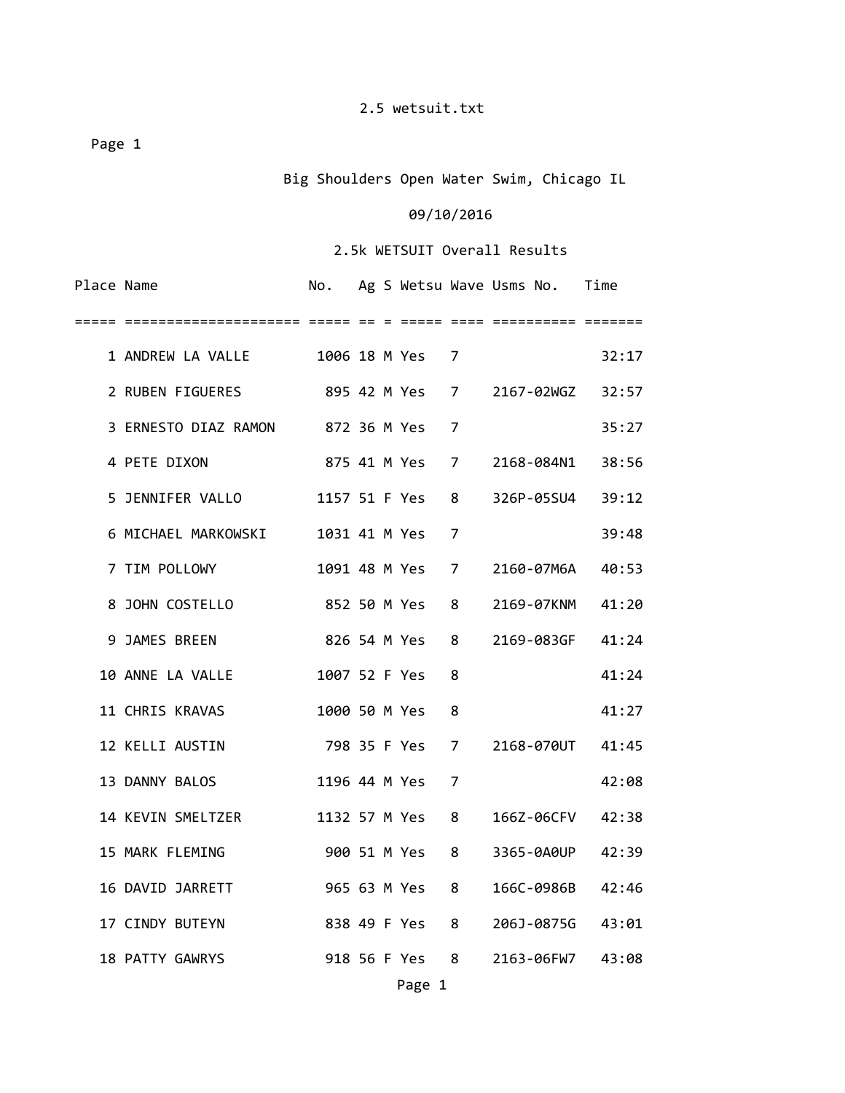Page 1

Big Shoulders Open Water Swim, Chicago IL

### 09/10/2016

### 2.5k WETSUIT Overall Results

| Place Name |                                     |                |  |                 |   | No. Ag S Wetsu Wave Usms No. Time |       |
|------------|-------------------------------------|----------------|--|-----------------|---|-----------------------------------|-------|
|            |                                     |                |  |                 |   |                                   |       |
|            | 1 ANDREW LA VALLE                   |                |  | 1006 18 M Yes 7 |   |                                   | 32:17 |
|            | 2 RUBEN FIGUERES                    |                |  |                 |   | 895 42 M Yes 7 2167-02WGZ 32:57   |       |
|            | 3 ERNESTO DIAZ RAMON 872 36 M Yes 7 |                |  |                 |   |                                   | 35:27 |
|            | 4 PETE DIXON                        | 875 41 M Yes 7 |  |                 |   | 2168-084N1                        | 38:56 |
|            | 5 JENNIFER VALLO                    |                |  | 1157 51 F Yes   | 8 | 326P-05SU4                        | 39:12 |
|            | 6 MICHAEL MARKOWSKI                 |                |  | 1031 41 M Yes   | 7 |                                   | 39:48 |
|            | 7 TIM POLLOWY                       |                |  | 1091 48 M Yes 7 |   | 2160-07M6A 40:53                  |       |
|            | 8 JOHN COSTELLO                     |                |  | 852 50 M Yes 8  |   | 2169-07KNM                        | 41:20 |
|            | 9 JAMES BREEN                       |                |  | 826 54 M Yes 8  |   | 2169-083GF 41:24                  |       |
|            | 10 ANNE LA VALLE                    |                |  | 1007 52 F Yes   | 8 |                                   | 41:24 |
|            | 11 CHRIS KRAVAS                     |                |  | 1000 50 M Yes   | 8 |                                   | 41:27 |
|            | 12 KELLI AUSTIN                     |                |  | 798 35 F Yes 7  |   | 2168-070UT 41:45                  |       |
|            | 13 DANNY BALOS                      |                |  | 1196 44 M Yes   | 7 |                                   | 42:08 |
|            | 14 KEVIN SMELTZER                   |                |  | 1132 57 M Yes   | 8 | 166Z-06CFV 42:38                  |       |
|            | 15 MARK FLEMING                     |                |  | 900 51 M Yes 8  |   | 3365-0A0UP                        | 42:39 |
|            | 16 DAVID JARRETT                    |                |  | 965 63 M Yes 8  |   | 166C-0986B 42:46                  |       |
|            | 17 CINDY BUTEYN                     |                |  | 838 49 F Yes 8  |   | 206J-0875G 43:01                  |       |
|            | 18 PATTY GAWRYS                     |                |  | 918 56 F Yes 8  |   | 2163-06FW7 43:08                  |       |
|            |                                     |                |  | Page 1          |   |                                   |       |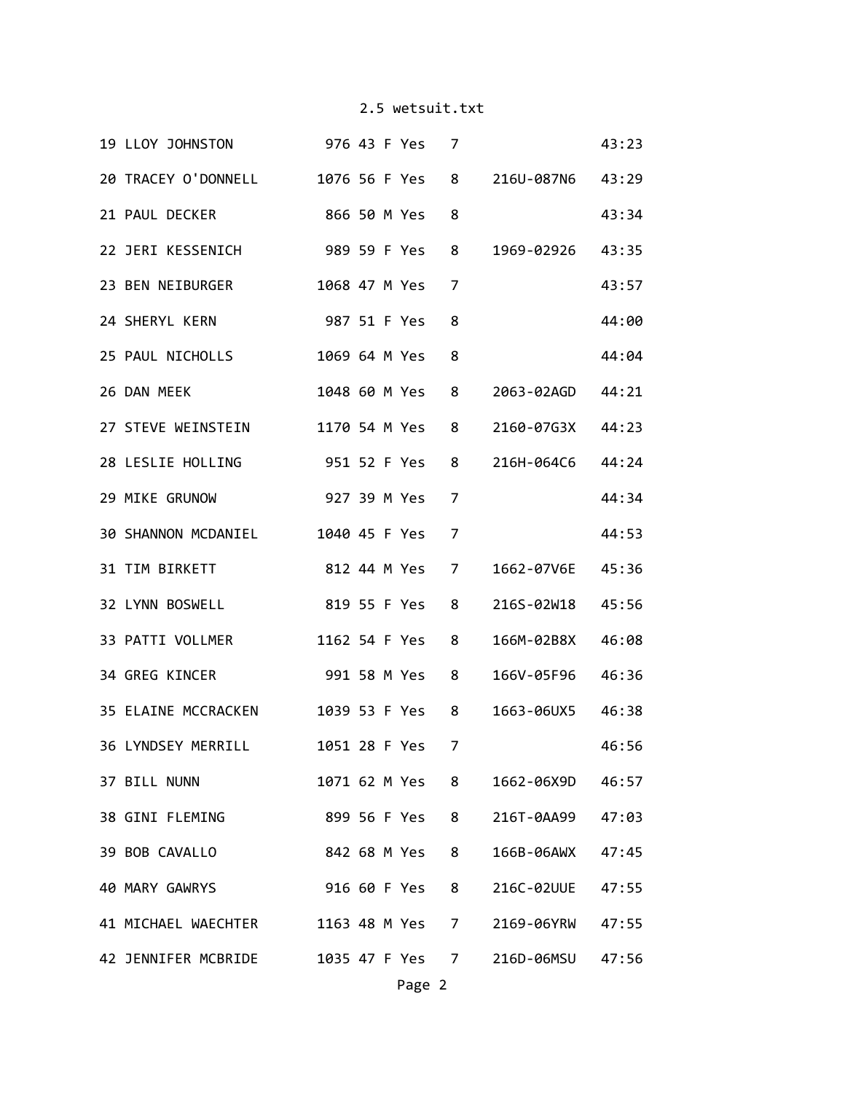| 19 LLOY JOHNSTON 976 43 F Yes 7                      |               |  |                |                |                                  | 43:23 |
|------------------------------------------------------|---------------|--|----------------|----------------|----------------------------------|-------|
| 20 TRACEY O'DONNELL 1076 56 F Yes                    |               |  |                | 8              | 216U-087N6 43:29                 |       |
| 21 PAUL DECKER                                       | 866 50 M Yes  |  |                | 8              |                                  | 43:34 |
| 22 JERI KESSENICH 989 59 F Yes                       |               |  |                | 8              | 1969-02926                       | 43:35 |
| 23 BEN NEIBURGER                                     | 1068 47 M Yes |  |                | 7              |                                  | 43:57 |
| 24 SHERYL KERN                                       | 987 51 F Yes  |  |                | 8              |                                  | 44:00 |
| 25 PAUL NICHOLLS                                     | 1069 64 M Yes |  |                | 8              |                                  | 44:04 |
| 26 DAN MEEK                                          |               |  | 1048 60 M Yes  | 8              | 2063-02AGD 44:21                 |       |
| 27 STEVE WEINSTEIN                                   |               |  | 1170 54 M Yes  | 8              | 2160-07G3X 44:23                 |       |
| 28 LESLIE HOLLING 951 52 F Yes                       |               |  |                | 8              | 216H-064C6                       | 44:24 |
| 29 MIKE GRUNOW 927 39 M Yes                          |               |  |                | 7              |                                  | 44:34 |
| 30 SHANNON MCDANIEL 1040 45 F Yes                    |               |  |                | $\overline{7}$ |                                  | 44:53 |
| 31 TIM BIRKETT                                       |               |  | 812 44 M Yes   | 7              | 1662-07V6E 45:36                 |       |
| 32 LYNN BOSWELL 819 55 F Yes                         |               |  |                | 8              | 216S-02W18 45:56                 |       |
| 33 PATTI VOLLMER                                     |               |  | 1162 54 F Yes  | 8              | 166M-02B8X 46:08                 |       |
| 34 GREG KINCER NAMES                                 |               |  | 991 58 M Yes   | 8              | 166V-05F96 46:36                 |       |
| 35 ELAINE MCCRACKEN 1039 53 F Yes                    |               |  |                | 8              | 1663-06UX5 46:38                 |       |
| 36 LYNDSEY MERRILL 1051 28 F Yes 7                   |               |  |                |                |                                  | 46:56 |
| 37 BILL NUNN                                         |               |  |                |                | 1071 62 M Yes 8 1662-06X9D 46:57 |       |
| 38 GINI FLEMING                                      |               |  | 899 56 F Yes 8 |                | 216T-0AA99 47:03                 |       |
| 39 BOB CAVALLO                                       |               |  | 842 68 M Yes 8 |                | 166B-06AWX 47:45                 |       |
| 40 MARY GAWRYS 916 60 F Yes 8 216C-02UUE             |               |  |                |                |                                  | 47:55 |
| 41 MICHAEL WAECHTER 1163 48 M Yes 7 2169-06YRW 47:55 |               |  |                |                |                                  |       |
| 42 JENNIFER MCBRIDE 1035 47 F Yes 7 216D-06MSU 47:56 |               |  |                |                |                                  |       |
|                                                      |               |  | Page 2         |                |                                  |       |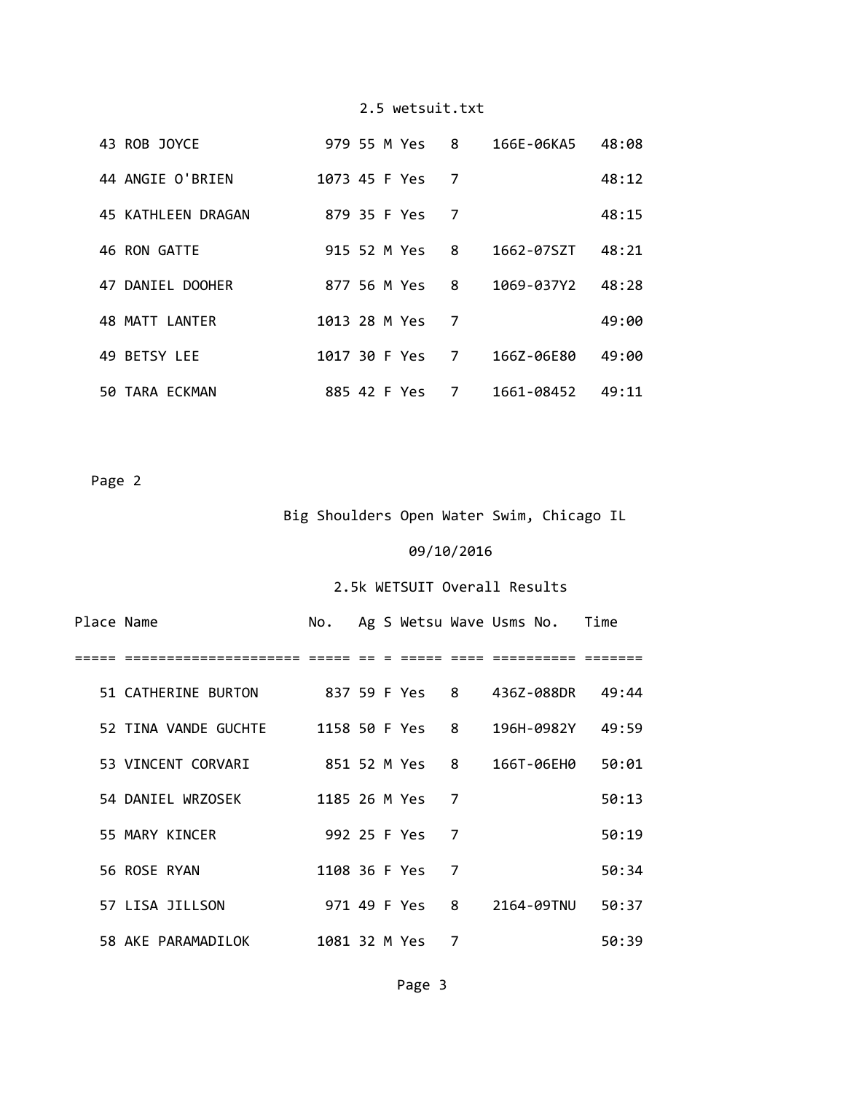| 43 ROB JOYCE       | 979 55 M Yes  |               | 8 | 166E-06KA5 | 48:08 |
|--------------------|---------------|---------------|---|------------|-------|
| 44 ANGIE O'BRIEN   | 1073 45 F Yes |               | 7 |            | 48:12 |
| 45 KATHLEEN DRAGAN | 879 35 F Yes  |               | 7 |            | 48:15 |
| 46 RON GATTE       | 915 52 M Yes  |               | 8 | 1662-07SZT | 48:21 |
| 47 DANIEL DOOHER   | 877 56 M Yes  |               | 8 | 1069-037Y2 | 48:28 |
| 48 MATT LANTER     | 1013 28 M Yes |               | 7 |            | 49:00 |
| 49 BETSY LEE       |               | 1017 30 F Yes | 7 | 166Z-06E80 | 49:00 |
| 50 TARA ECKMAN     | 885 42 F Yes  |               | 7 | 1661-08452 | 49:11 |

Page 2

## Big Shoulders Open Water Swim, Chicago IL

## 09/10/2016

## 2.5k WETSUIT Overall Results

| Place Name |                                      |  |                 |   | No. Ag S Wetsu Wave Usms No. Time         |       |
|------------|--------------------------------------|--|-----------------|---|-------------------------------------------|-------|
|            |                                      |  |                 |   |                                           |       |
|            | 51 CATHERINE BURTON                  |  |                 |   | 837 59 F Yes   8     436Z-088DR     49:44 |       |
|            | 52 TINA VANDE GUCHTE 1158 50 F Yes 8 |  |                 |   | 196H-0982Y 49:59                          |       |
|            | 53 VINCENT CORVARI                   |  |                 |   | 851 52 M Yes   8     166T-06EH0           | 50:01 |
|            | 54 DANIEL WRZOSEK                    |  | 1185 26 M Yes 7 |   |                                           | 50:13 |
|            | 55 MARY KINCER                       |  | 992 25 F Yes 7  |   |                                           | 50:19 |
|            | 56 ROSE RYAN                         |  | 1108 36 F Yes 7 |   |                                           | 50:34 |
|            | 57 LISA JILLSON                      |  | 971 49 F Yes 8  |   | 2164-09TNU                                | 50:37 |
|            | 58 AKE PARAMADILOK                   |  | 1081 32 M Yes   | 7 |                                           | 50:39 |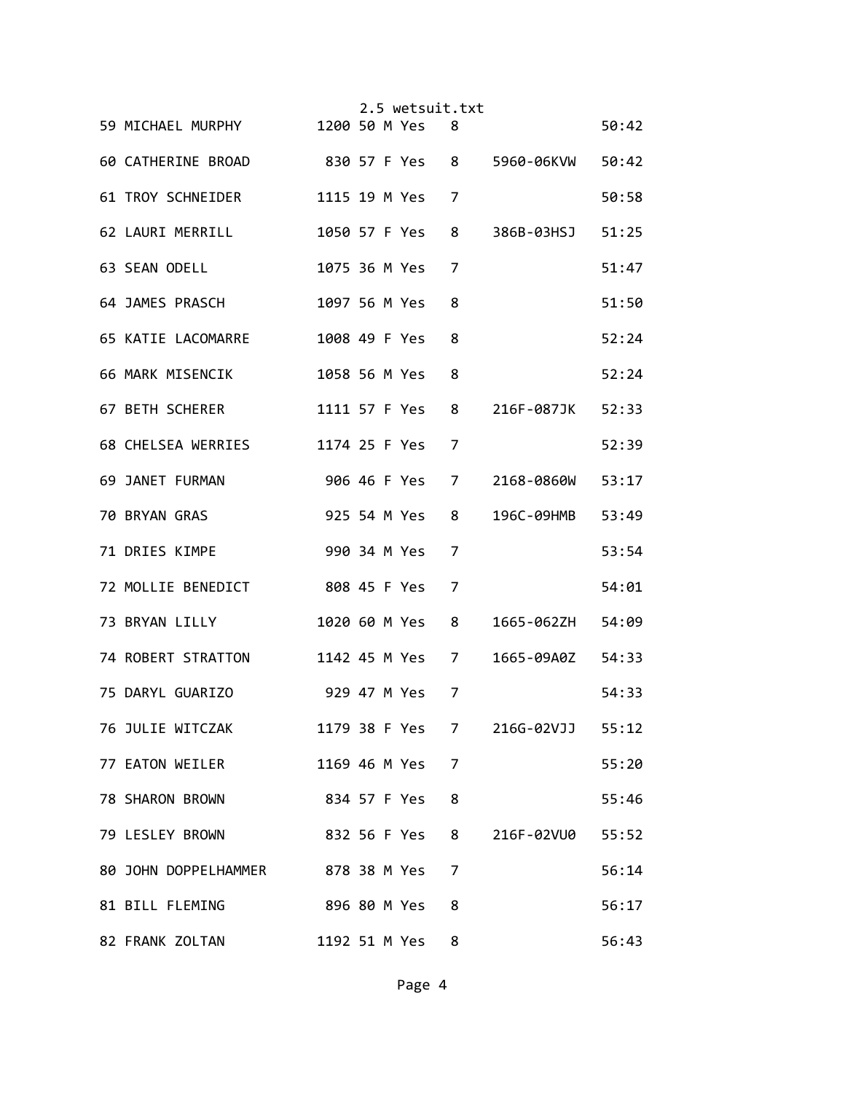|                                                    |  | 2.5 wetsuit.txt |   |                  |       |
|----------------------------------------------------|--|-----------------|---|------------------|-------|
| 59 MICHAEL MURPHY 1200 50 M Yes 8                  |  |                 |   |                  | 50:42 |
| 60 CATHERINE BROAD 830 57 F Yes 8 5960-06KVW 50:42 |  |                 |   |                  |       |
| 61 TROY SCHNEIDER                                  |  | 1115 19 M Yes 7 |   |                  | 50:58 |
| 62 LAURI MERRILL                                   |  | 1050 57 F Yes   | 8 | 386B-03HSJ 51:25 |       |
| 63 SEAN ODELL                                      |  | 1075 36 M Yes   | 7 |                  | 51:47 |
| 64 JAMES PRASCH                                    |  | 1097 56 M Yes   | 8 |                  | 51:50 |
| 65 KATIE LACOMARRE 1008 49 F Yes                   |  |                 | 8 |                  | 52:24 |
| 66 MARK MISENCIK                                   |  | 1058 56 M Yes   | 8 |                  | 52:24 |
| 67 BETH SCHERER                                    |  | 1111 57 F Yes 8 |   | 216F-087JK 52:33 |       |
| 68 CHELSEA WERRIES                                 |  | 1174 25 F Yes 7 |   |                  | 52:39 |
| 69 JANET FURMAN                                    |  | 906 46 F Yes 7  |   | 2168-0860W       | 53:17 |
| <b>70 BRYAN GRAS</b>                               |  | 925 54 M Yes    | 8 | 196C-09HMB       | 53:49 |
| 71 DRIES KIMPE                                     |  | 990 34 M Yes    | 7 |                  | 53:54 |
| 72 MOLLIE BENEDICT 808 45 F Yes                    |  |                 | 7 |                  | 54:01 |
| 73 BRYAN LILLY                                     |  | 1020 60 M Yes 8 |   | 1665-062ZH 54:09 |       |
| 74 ROBERT STRATTON 1142 45 M Yes 7                 |  |                 |   | 1665-09A0Z 54:33 |       |
| 75 DARYL GUARIZO 329 47 M Yes                      |  |                 | 7 |                  | 54:33 |
| 76 JULIE WITCZAK                                   |  | 1179 38 F Yes 7 |   | 216G-02VJJ 55:12 |       |
| 77 EATON WEILER                                    |  | 1169 46 M Yes   | 7 |                  | 55:20 |
| 78 SHARON BROWN                                    |  | 834 57 F Yes    | 8 |                  | 55:46 |
| 79 LESLEY BROWN                                    |  | 832 56 F Yes 8  |   | 216F-02VU0       | 55:52 |
| 80 JOHN DOPPELHAMMER 878 38 M Yes                  |  |                 | 7 |                  | 56:14 |
| 81 BILL FLEMING                                    |  | 896 80 M Yes    | 8 |                  | 56:17 |
| 82 FRANK ZOLTAN                                    |  | 1192 51 M Yes   | 8 |                  | 56:43 |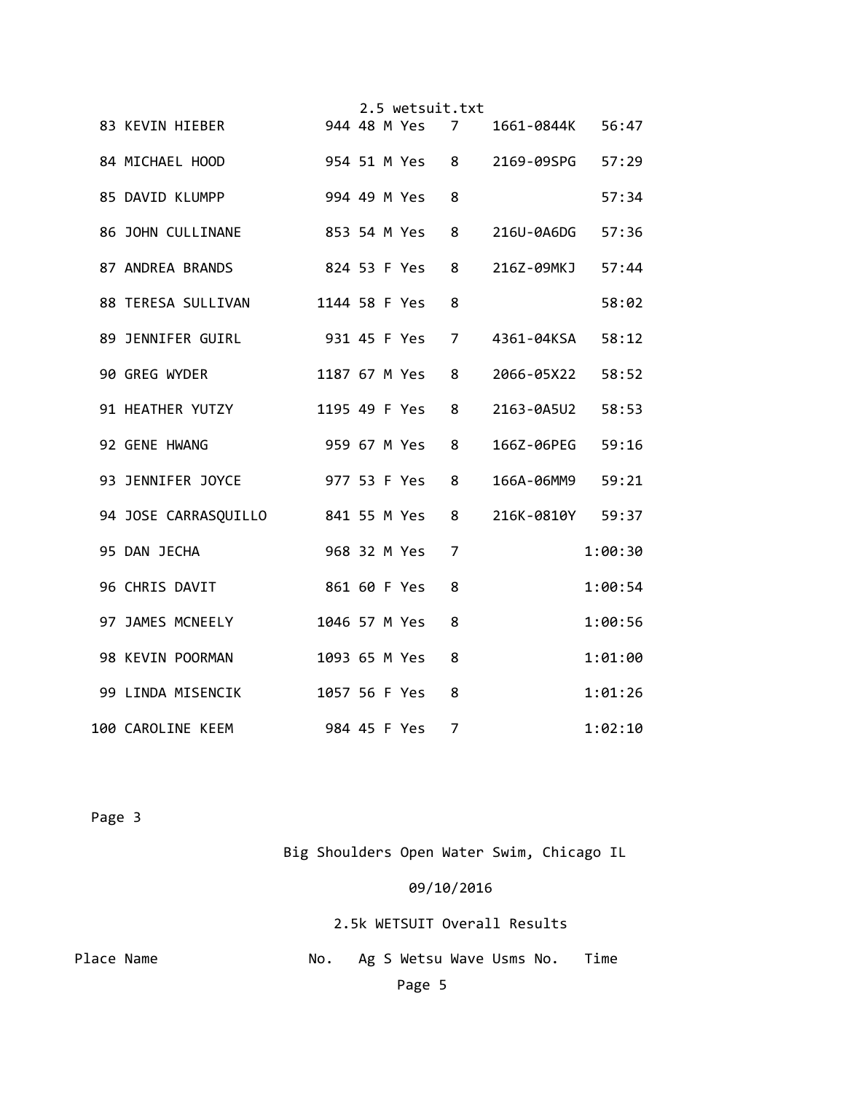|                                   |               |  | 2.5 wetsuit.txt |   |                                 |         |
|-----------------------------------|---------------|--|-----------------|---|---------------------------------|---------|
| 83 KEVIN HIEBER                   |               |  | 944 48 M Yes 7  |   | 1661-0844K 56:47                |         |
| 84 MICHAEL HOOD                   |               |  |                 |   | 954 51 M Yes 8 2169-09SPG 57:29 |         |
| 994 49 M Yes<br>85 DAVID KLUMPP   |               |  |                 | 8 |                                 | 57:34   |
| 86 JOHN CULLINANE                 |               |  | 853 54 M Yes    | 8 | 216U-0A6DG 57:36                |         |
| 87 ANDREA BRANDS                  |               |  | 824 53 F Yes    | 8 | 216Z-09MKJ 57:44                |         |
| 88 TERESA SULLIVAN                |               |  | 1144 58 F Yes   | 8 |                                 | 58:02   |
| 931 45 F Yes<br>89 JENNIFER GUIRL |               |  |                 | 7 | 4361-04KSA                      | 58:12   |
| 90 GREG WYDER                     | 1187 67 M Yes |  |                 | 8 | 2066-05X22                      | 58:52   |
| 91 HEATHER YUTZY<br>1195 49 F Yes |               |  |                 | 8 | 2163-0A5U2                      | 58:53   |
| 92 GENE HWANG                     | 959 67 M Yes  |  |                 | 8 | 166Z-06PEG                      | 59:16   |
| 977 53 F Yes<br>93 JENNIFER JOYCE |               |  |                 | 8 | 166A-06MM9                      | 59:21   |
| 94 JOSE CARRASQUILLO 841 55 M Yes |               |  |                 | 8 | 216K-0810Y 59:37                |         |
| 95 DAN JECHA                      |               |  | 968 32 M Yes    | 7 |                                 | 1:00:30 |
| 96 CHRIS DAVIT                    | 861 60 F Yes  |  |                 | 8 |                                 | 1:00:54 |
| 97 JAMES MCNEELY                  | 1046 57 M Yes |  |                 | 8 |                                 | 1:00:56 |
| 98 KEVIN POORMAN                  |               |  | 1093 65 M Yes   | 8 |                                 | 1:01:00 |
| 99 LINDA MISENCIK                 |               |  | 1057 56 F Yes   | 8 |                                 | 1:01:26 |
| 100 CAROLINE KEEM                 | 984 45 F Yes  |  |                 | 7 |                                 | 1:02:10 |

Page 3

Big Shoulders Open Water Swim, Chicago IL

# 09/10/2016

2.5k WETSUIT Overall Results

| Place Name | No. Ag S Wetsu Wave Usms No. Time |  |
|------------|-----------------------------------|--|
|            | Page 5                            |  |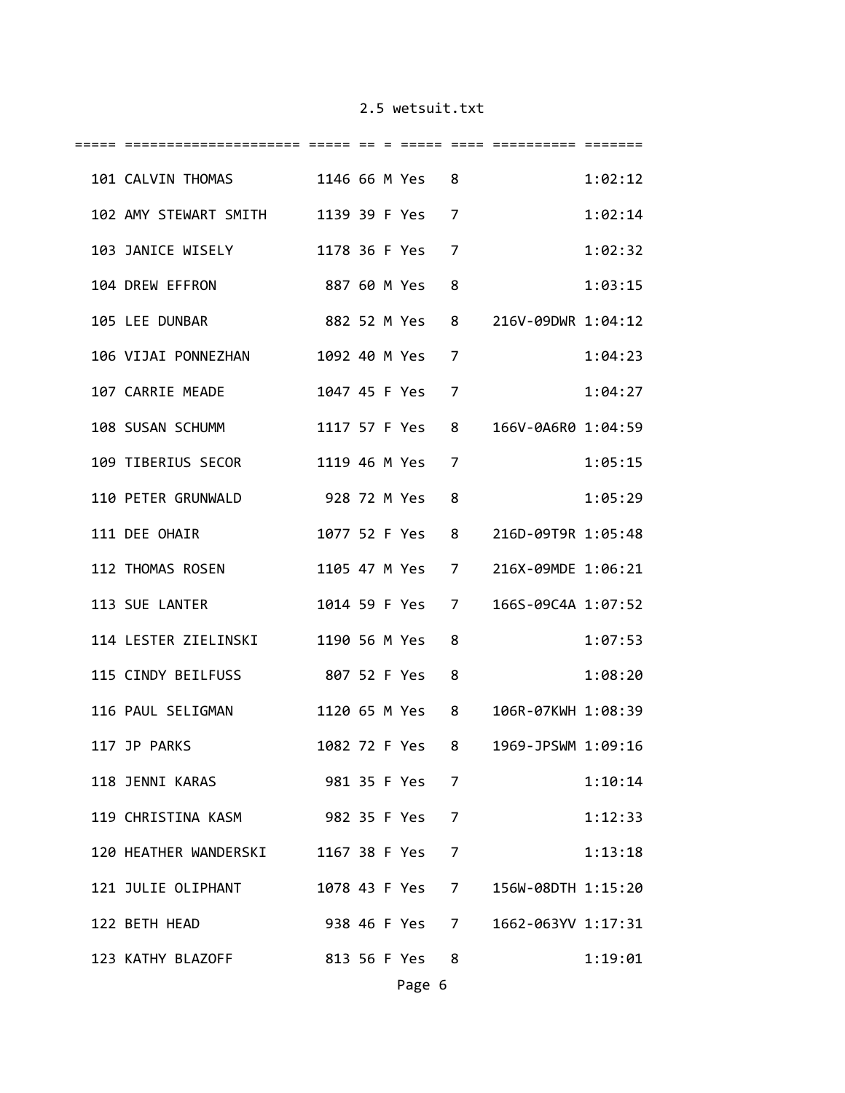| 101 CALVIN THOMAS 1146 66 M Yes 8     |  |                 |                |                                    | 1:02:12 |
|---------------------------------------|--|-----------------|----------------|------------------------------------|---------|
| 102 AMY STEWART SMITH 1139 39 F Yes 7 |  |                 |                |                                    | 1:02:14 |
| 103 JANICE WISELY                     |  | 1178 36 F Yes   | 7              |                                    | 1:02:32 |
| 104 DREW EFFRON<br>887 60 M Yes       |  |                 | 8              |                                    | 1:03:15 |
| 882 52 M Yes<br>105 LEE DUNBAR        |  |                 | 8              | 216V-09DWR 1:04:12                 |         |
| 106 VIJAI PONNEZHAN 1092 40 M Yes     |  |                 | 7              |                                    | 1:04:23 |
| 1047 45 F Yes<br>107 CARRIE MEADE     |  |                 | 7              |                                    | 1:04:27 |
| 108 SUSAN SCHUMM 1117 57 F Yes        |  |                 | 8              | 166V-0A6R0 1:04:59                 |         |
| 109 TIBERIUS SECOR                    |  | 1119 46 M Yes 7 |                |                                    | 1:05:15 |
| 110 PETER GRUNWALD 928 72 M Yes       |  |                 | 8              |                                    | 1:05:29 |
| 111 DEE OHAIR                         |  | 1077 52 F Yes   | 8              | 216D-09T9R 1:05:48                 |         |
| 112 THOMAS ROSEN                      |  |                 |                | 1105 47 M Yes 7 216X-09MDE 1:06:21 |         |
| 113 SUE LANTER                        |  | 1014 59 F Yes   | $\overline{7}$ | 166S-09C4A 1:07:52                 |         |
| 114 LESTER ZIELINSKI 1190 56 M Yes    |  |                 | 8              |                                    | 1:07:53 |
| 115 CINDY BEILFUSS 807 52 F Yes       |  |                 | 8              |                                    | 1:08:20 |
| 116 PAUL SELIGMAN                     |  | 1120 65 M Yes   | 8              | 106R-07KWH 1:08:39                 |         |
| 117 JP PARKS                          |  | 1082 72 F Yes   | 8              | 1969-JPSWM 1:09:16                 |         |
| 118 JENNI KARAS 981 35 F Yes 7        |  |                 |                |                                    | 1:10:14 |
| 119 CHRISTINA KASM 982 35 F Yes 7     |  |                 |                |                                    | 1:12:33 |
| 120 HEATHER WANDERSKI                 |  | 1167 38 F Yes 7 |                |                                    | 1:13:18 |
| 121 JULIE OLIPHANT                    |  | 1078 43 F Yes 7 |                | 156W-08DTH 1:15:20                 |         |
| 122 BETH HEAD                         |  | 938 46 F Yes 7  |                | 1662-063YV 1:17:31                 |         |
| 123 KATHY BLAZOFF 813 56 F Yes 8      |  |                 |                |                                    | 1:19:01 |
|                                       |  | Page 6          |                |                                    |         |